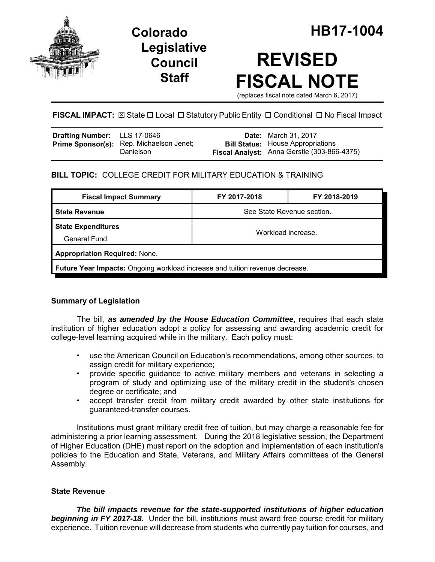

**Legislative Council Staff**

# **REVISED FISCAL NOTE**

(replaces fiscal note dated March 6, 2017)

## **FISCAL IMPACT:** ⊠ State □ Local □ Statutory Public Entity □ Conditional □ No Fiscal Impact

| Drafting Number: LLS 17-0646 |                                                       | <b>Date:</b> March 31, 2017                                                             |
|------------------------------|-------------------------------------------------------|-----------------------------------------------------------------------------------------|
|                              | Prime Sponsor(s): Rep. Michaelson Jenet;<br>Danielson | <b>Bill Status:</b> House Appropriations<br>Fiscal Analyst: Anna Gerstle (303-866-4375) |

## **BILL TOPIC:** COLLEGE CREDIT FOR MILITARY EDUCATION & TRAINING

| <b>Fiscal Impact Summary</b>                                                        | FY 2017-2018               | FY 2018-2019 |  |  |
|-------------------------------------------------------------------------------------|----------------------------|--------------|--|--|
| <b>State Revenue</b>                                                                | See State Revenue section. |              |  |  |
| <b>State Expenditures</b><br>General Fund                                           | Workload increase.         |              |  |  |
| <b>Appropriation Required: None.</b>                                                |                            |              |  |  |
| <b>Future Year Impacts:</b> Ongoing workload increase and tuition revenue decrease. |                            |              |  |  |

## **Summary of Legislation**

The bill, *as amended by the House Education Committee*, requires that each state institution of higher education adopt a policy for assessing and awarding academic credit for college-level learning acquired while in the military. Each policy must:

- use the American Council on Education's recommendations, among other sources, to assign credit for military experience;
- provide specific guidance to active military members and veterans in selecting a program of study and optimizing use of the military credit in the student's chosen degree or certificate; and
- accept transfer credit from military credit awarded by other state institutions for guaranteed-transfer courses.

Institutions must grant military credit free of tuition, but may charge a reasonable fee for administering a prior learning assessment. During the 2018 legislative session, the Department of Higher Education (DHE) must report on the adoption and implementation of each institution's policies to the Education and State, Veterans, and Military Affairs committees of the General Assembly.

## **State Revenue**

*The bill impacts revenue for the state-supported institutions of higher education* **beginning in FY 2017-18.** Under the bill, institutions must award free course credit for military experience. Tuition revenue will decrease from students who currently pay tuition for courses, and